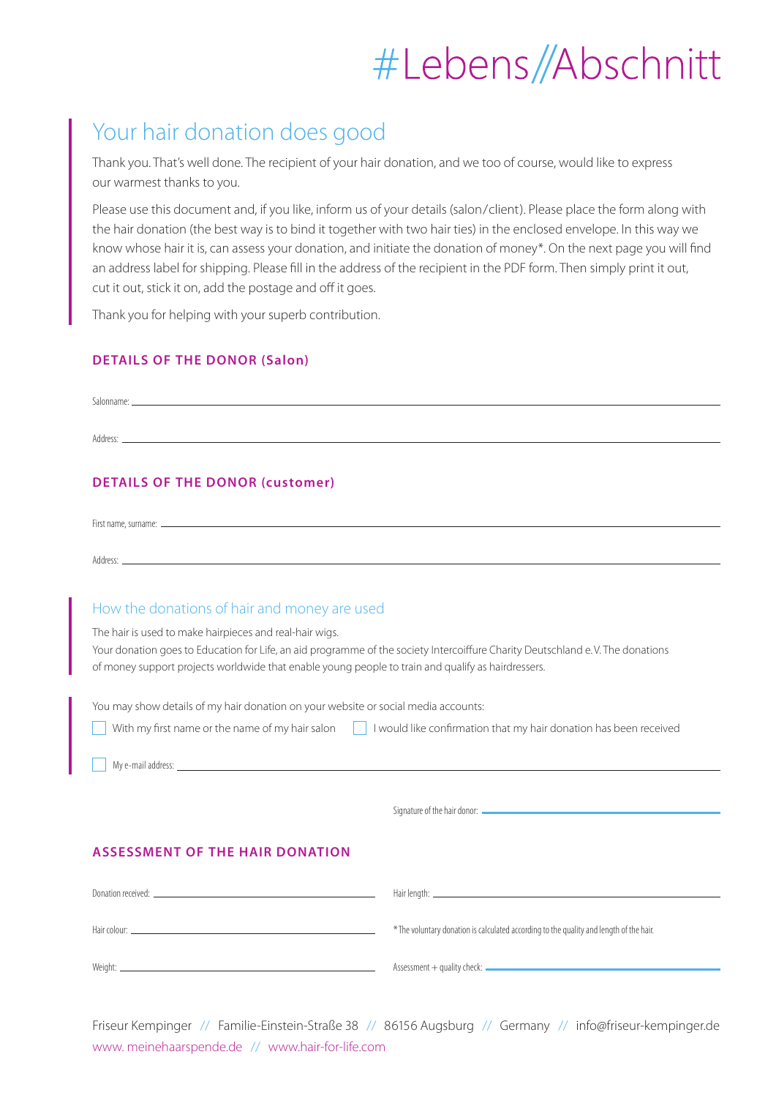## #Lebens//Abschnitt

### Your hair donation does good

Thank you. That's well done. The recipient of your hair donation, and we too of course, would like to express our warmest thanks to you.

Please use this document and, if you like, inform us of your details (salon/client). Please place the form along with the hair donation (the best way is to bind it together with two hair ties) in the enclosed envelope. In this way we know whose hair it is, can assess your donation, and initiate the donation of money\*. On the next page you will find an address label for shipping. Please fill in the address of the recipient in the PDF form. Then simply print it out, cut it out, stick it on, add the postage and off it goes.

Thank you for helping with your superb contribution.

#### **DETAILS OF THE DONOR (Salon)**

| Address:                               |  |  |
|----------------------------------------|--|--|
| <b>DETAILS OF THE DONOR (customer)</b> |  |  |

First name, surname:

Address:

#### How the donations of hair and money are used

The hair is used to make hairpieces and real-hair wigs.

Your donation goes to Education for Life, an aid programme of the society Intercoiffure Charity Deutschland e. V. The donations of money support projects worldwide that enable young people to train and qualify as hairdressers.

You may show details of my hair donation on your website or social media accounts:

| I I would like confirmation that my hair donation has been received<br>With my first name or the name of my hair salon |  |  |  |  |  |
|------------------------------------------------------------------------------------------------------------------------|--|--|--|--|--|
|------------------------------------------------------------------------------------------------------------------------|--|--|--|--|--|

My e-mail address:

Signature of the hair donor:

#### **ASSESSMENT OF THE HAIR DONATION**

| Hair colour:<br>the control of the control of the control of the control of the control of the control of | * The voluntary donation is calculated according to the quality and length of the hair. |
|-----------------------------------------------------------------------------------------------------------|-----------------------------------------------------------------------------------------|
| Weight:                                                                                                   |                                                                                         |

Friseur Kempinger // Familie-Einstein-Straße 38 // 86156 Augsburg // Germany // info@friseur-kempinger.de www. meinehaarspende.de // www.hair-for-life.com